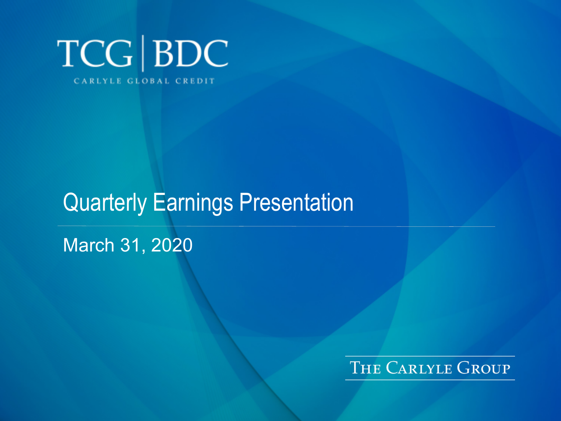

# Quarterly Earnings Presentation

### March 31, 2020

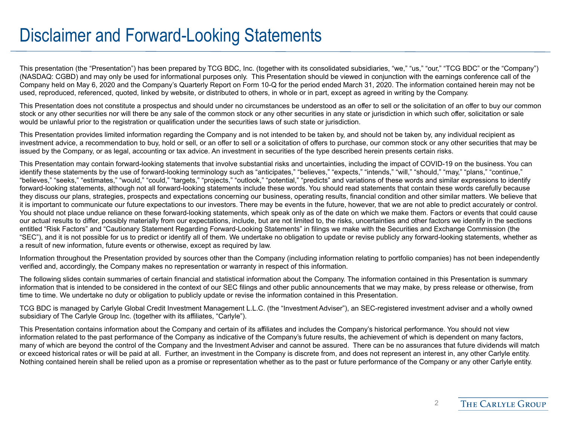### Disclaimer and Forward-Looking Statements

This presentation (the "Presentation") has been prepared by TCG BDC, Inc. (together with its consolidated subsidiaries, "we," "us," "our," "TCG BDC" or the "Company") (NASDAQ: CGBD) and may only be used for informational purposes only. This Presentation should be viewed in conjunction with the earnings conference call of the Company held on May 6, 2020 and the Company's Quarterly Report on Form 10-Q for the period ended March 31, 2020. The information contained herein may not be used, reproduced, referenced, quoted, linked by website, or distributed to others, in whole or in part, except as agreed in writing by the Company.

This Presentation does not constitute a prospectus and should under no circumstances be understood as an offer to sell or the solicitation of an offer to buy our common stock or any other securities nor will there be any sale of the common stock or any other securities in any state or jurisdiction in which such offer, solicitation or sale would be unlawful prior to the registration or qualification under the securities laws of such state or jurisdiction.

This Presentation provides limited information regarding the Company and is not intended to be taken by, and should not be taken by, any individual recipient as investment advice, a recommendation to buy, hold or sell, or an offer to sell or a solicitation of offers to purchase, our common stock or any other securities that may be issued by the Company, or as legal, accounting or tax advice. An investment in securities of the type described herein presents certain risks.

This Presentation may contain forward-looking statements that involve substantial risks and uncertainties, including the impact of COVID-19 on the business. You can identify these statements by the use of forward-looking terminology such as "anticipates," "believes," "expects," "intends," "will," "should," "may," "plans," "continue," "believes," "seeks," "estimates," "would," "could," "targets," "projects," "outlook," "potential," "predicts" and variations of these words and similar expressions to identify forward-looking statements, although not all forward-looking statements include these words. You should read statements that contain these words carefully because they discuss our plans, strategies, prospects and expectations concerning our business, operating results, financial condition and other similar matters. We believe that it is important to communicate our future expectations to our investors. There may be events in the future, however, that we are not able to predict accurately or control. You should not place undue reliance on these forward-looking statements, which speak only as of the date on which we make them. Factors or events that could cause our actual results to differ, possibly materially from our expectations, include, but are not limited to, the risks, uncertainties and other factors we identify in the sections entitled "Risk Factors" and "Cautionary Statement Regarding Forward-Looking Statements" in filings we make with the Securities and Exchange Commission (the "SEC"), and it is not possible for us to predict or identify all of them. We undertake no obligation to update or revise publicly any forward-looking statements, whether as a result of new information, future events or otherwise, except as required by law.

Information throughout the Presentation provided by sources other than the Company (including information relating to portfolio companies) has not been independently verified and, accordingly, the Company makes no representation or warranty in respect of this information.

The following slides contain summaries of certain financial and statistical information about the Company. The information contained in this Presentation is summary information that is intended to be considered in the context of our SEC filings and other public announcements that we may make, by press release or otherwise, from time to time. We undertake no duty or obligation to publicly update or revise the information contained in this Presentation.

TCG BDC is managed by Carlyle Global Credit Investment Management L.L.C. (the "Investment Adviser"), an SEC-registered investment adviser and a wholly owned subsidiary of The Carlyle Group Inc. (together with its affiliates, "Carlyle").

This Presentation contains information about the Company and certain of its affiliates and includes the Company's historical performance. You should not view information related to the past performance of the Company as indicative of the Company's future results, the achievement of which is dependent on many factors, many of which are beyond the control of the Company and the Investment Adviser and cannot be assured. There can be no assurances that future dividends will match or exceed historical rates or will be paid at all. Further, an investment in the Company is discrete from, and does not represent an interest in, any other Carlyle entity. Nothing contained herein shall be relied upon as a promise or representation whether as to the past or future performance of the Company or any other Carlyle entity.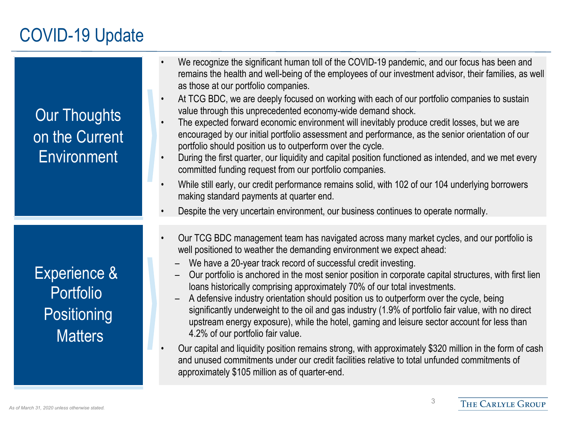# COVID-19 Update

| <b>Our Thoughts</b><br>on the Current<br><b>Environment</b>                  | We recognize the significant human toll of the COVID-19 pandemic, and our focus has been and<br>remains the health and well-being of the employees of our investment advisor, their families, as well<br>as those at our portfolio companies.<br>At TCG BDC, we are deeply focused on working with each of our portfolio companies to sustain<br>$\bullet$<br>value through this unprecedented economy-wide demand shock.<br>The expected forward economic environment will inevitably produce credit losses, but we are<br>encouraged by our initial portfolio assessment and performance, as the senior orientation of our<br>portfolio should position us to outperform over the cycle.<br>During the first quarter, our liquidity and capital position functioned as intended, and we met every<br>$\bullet$<br>committed funding request from our portfolio companies.<br>While still early, our credit performance remains solid, with 102 of our 104 underlying borrowers<br>$\bullet$<br>making standard payments at quarter end.<br>Despite the very uncertain environment, our business continues to operate normally. |
|------------------------------------------------------------------------------|----------------------------------------------------------------------------------------------------------------------------------------------------------------------------------------------------------------------------------------------------------------------------------------------------------------------------------------------------------------------------------------------------------------------------------------------------------------------------------------------------------------------------------------------------------------------------------------------------------------------------------------------------------------------------------------------------------------------------------------------------------------------------------------------------------------------------------------------------------------------------------------------------------------------------------------------------------------------------------------------------------------------------------------------------------------------------------------------------------------------------------|
| <b>Experience &amp;</b><br><b>Portfolio</b><br>Positioning<br><b>Matters</b> | Our TCG BDC management team has navigated across many market cycles, and our portfolio is<br>well positioned to weather the demanding environment we expect ahead:<br>We have a 20-year track record of successful credit investing.<br>Our portfolio is anchored in the most senior position in corporate capital structures, with first lien<br>loans historically comprising approximately 70% of our total investments.<br>A defensive industry orientation should position us to outperform over the cycle, being<br>significantly underweight to the oil and gas industry (1.9% of portfolio fair value, with no direct<br>upstream energy exposure), while the hotel, gaming and leisure sector account for less than<br>4.2% of our portfolio fair value.<br>Our capital and liquidity position remains strong, with approximately \$320 million in the form of cash<br>and unused commitments under our credit facilities relative to total unfunded commitments of<br>approximately \$105 million as of quarter-end.                                                                                                   |

3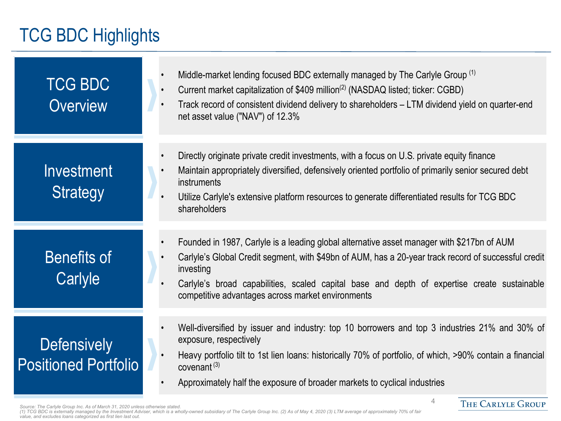### TCG BDC Highlights

| <b>TCG BDC</b><br><b>Overview</b>                 | Middle-market lending focused BDC externally managed by The Carlyle Group (1)<br>Current market capitalization of \$409 million <sup>(2)</sup> (NASDAQ listed; ticker: CGBD)<br>Track record of consistent dividend delivery to shareholders – LTM dividend yield on quarter-end<br>net asset value ("NAV") of 12.3%                                                |
|---------------------------------------------------|---------------------------------------------------------------------------------------------------------------------------------------------------------------------------------------------------------------------------------------------------------------------------------------------------------------------------------------------------------------------|
| Investment<br><b>Strategy</b>                     | Directly originate private credit investments, with a focus on U.S. private equity finance<br>Maintain appropriately diversified, defensively oriented portfolio of primarily senior secured debt<br>instruments<br>Utilize Carlyle's extensive platform resources to generate differentiated results for TCG BDC<br>shareholders                                   |
| <b>Benefits of</b><br>Carlyle                     | Founded in 1987, Carlyle is a leading global alternative asset manager with \$217bn of AUM<br>Carlyle's Global Credit segment, with \$49bn of AUM, has a 20-year track record of successful credit<br>investing<br>Carlyle's broad capabilities, scaled capital base and depth of expertise create sustainable<br>competitive advantages across market environments |
| <b>Defensively</b><br><b>Positioned Portfolio</b> | Well-diversified by issuer and industry: top 10 borrowers and top 3 industries 21% and 30% of<br>exposure, respectively<br>Heavy portfolio tilt to 1st lien loans: historically 70% of portfolio, of which, >90% contain a financial<br>covenant $(3)$<br>Approximately half the exposure of broader markets to cyclical industries                                 |

Source: The Carlyle Group Inc. As of March 31, 2020 unless otherwise stated.<br>(1) TCG BDC is externally managed by the Investment Adviser, which is a wholly-owned subsidiary of The Carlyle Group Inc. (2) As of May 4, 2020 (

THE CARLYLE GROUP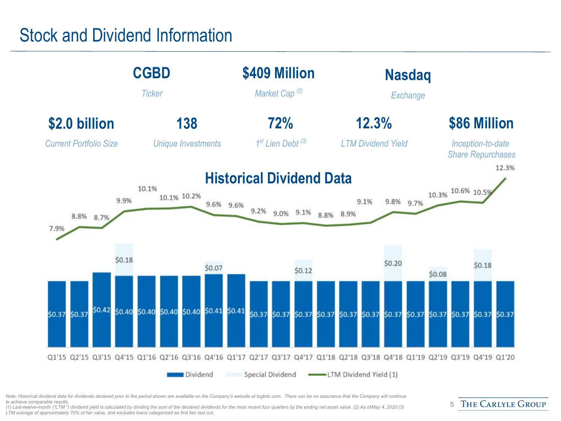### Stock and Dividend Information



Note: Historical dividend data for dividends declared prior to the period shown are available on the Company's website at tcgbdc.com. There can be no assurance that the Company will continue *to achieve comparable results.* 

*(1) Last-twelve-month ("LTM ") dividend yield is calculated by dividing the sum of the declared dividends for the most recent four quarters by the ending net asset value. (2) As of May 4, 2020 (3) LTM average of approximately 70% of fair value, and excludes loans categorized as first lien last out.*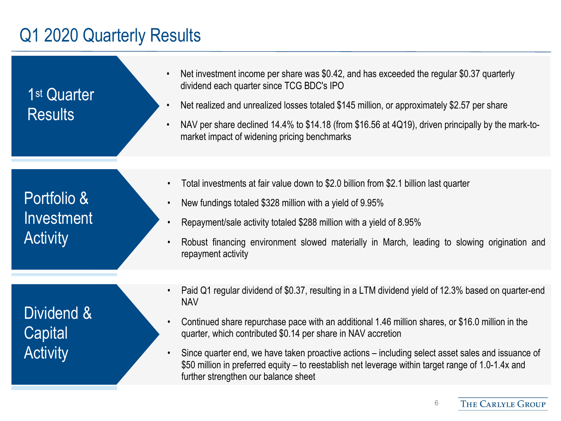### Q1 2020 Quarterly Results

1st Quarter Results

- Net investment income per share was \$0.42, and has exceeded the regular \$0.37 quarterly dividend each quarter since TCG BDC's IPO
- Net realized and unrealized losses totaled \$145 million, or approximately \$2.57 per share
- NAV per share declined 14.4% to \$14.18 (from \$16.56 at 4Q19), driven principally by the mark-tomarket impact of widening pricing benchmarks

Portfolio & Investment **Activity** 

Dividend & **Capital Activity** 

- Total investments at fair value down to \$2.0 billion from \$2.1 billion last quarter
- New fundings totaled \$328 million with a yield of 9.95%
- Repayment/sale activity totaled \$288 million with a yield of 8.95%
- Robust financing environment slowed materially in March, leading to slowing origination and repayment activity
- Paid Q1 regular dividend of \$0.37, resulting in a LTM dividend yield of 12.3% based on quarter-end NAV
- Continued share repurchase pace with an additional 1.46 million shares, or \$16.0 million in the quarter, which contributed \$0.14 per share in NAV accretion
- Since quarter end, we have taken proactive actions including select asset sales and issuance of \$50 million in preferred equity – to reestablish net leverage within target range of 1.0-1.4x and further strengthen our balance sheet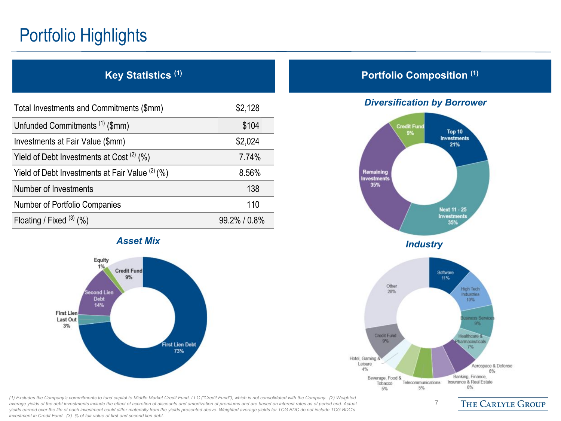# Portfolio Highlights

| Key Statistics <sup>(1)</sup>                     |              |
|---------------------------------------------------|--------------|
| Total Investments and Commitments (\$mm)          | \$2,128      |
| Unfunded Commitments <sup>(1)</sup> (\$mm)        | \$104        |
| Investments at Fair Value (\$mm)                  | \$2,024      |
| Yield of Debt Investments at Cost $(2)$ (%)       | 7.74%        |
| Yield of Debt Investments at Fair Value $(2)$ (%) | 8.56%        |
| Number of Investments                             | 138          |
| <b>Number of Portfolio Companies</b>              | 110          |
| Floating / Fixed $(3)$ (%)                        | 99.2% / 0.8% |



*(1) Excludes the Company's commitments to fund capital to Middle Market Credit Fund, LLC ("Credit Fund"), which is not consolidated with the Company. (2) Weighted average yields of the debt investments include the effect of accretion of discounts and amortization of premiums and are based on interest rates as of period end. Actual yields earned over the life of each investment could differ materially from the yields presented above. Weighted average yields for TCG BDC do not include TCG BDC's investment in Credit Fund. (3) % of fair value of first and second lien debt.*

#### **Portfolio Composition (1)**

#### *Diversification by Borrower*

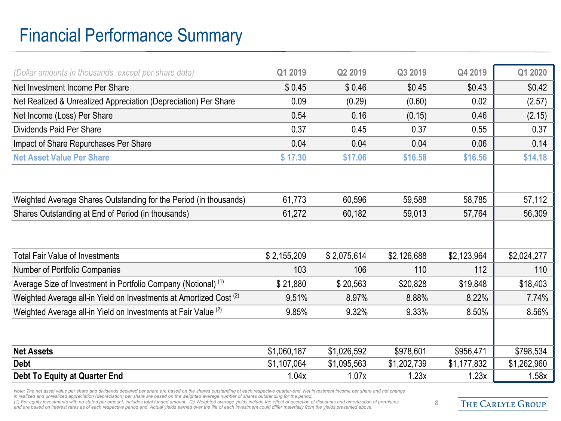# Financial Performance Summary

| (Dollar amounts in thousands, except per share data)                          | Q1 2019     | Q2 2019     | Q3 2019     | Q4 2019     | Q1 2020     |
|-------------------------------------------------------------------------------|-------------|-------------|-------------|-------------|-------------|
| Net Investment Income Per Share                                               | \$0.45      | \$0.46      | \$0.45      | \$0.43      | \$0.42      |
| Net Realized & Unrealized Appreciation (Depreciation) Per Share               | 0.09        | (0.29)      | (0.60)      | 0.02        | (2.57)      |
| Net Income (Loss) Per Share                                                   | 0.54        | 0.16        | (0.15)      | 0.46        | (2.15)      |
| Dividends Paid Per Share                                                      | 0.37        | 0.45        | 0.37        | 0.55        | 0.37        |
| Impact of Share Repurchases Per Share                                         | 0.04        | 0.04        | 0.04        | 0.06        | 0.14        |
| <b>Net Asset Value Per Share</b>                                              | \$17.30     | \$17.06     | \$16.58     | \$16.56     | \$14.18     |
|                                                                               |             |             |             |             |             |
|                                                                               |             |             |             |             |             |
| Weighted Average Shares Outstanding for the Period (in thousands)             | 61,773      | 60,596      | 59,588      | 58,785      | 57,112      |
| Shares Outstanding at End of Period (in thousands)                            | 61,272      | 60,182      | 59,013      | 57,764      | 56,309      |
|                                                                               |             |             |             |             |             |
|                                                                               |             |             |             |             |             |
| <b>Total Fair Value of Investments</b>                                        | \$2,155,209 | \$2,075,614 | \$2,126,688 | \$2,123,964 | \$2,024,277 |
| Number of Portfolio Companies                                                 | 103         | 106         | 110         | 112         | 110         |
| Average Size of Investment in Portfolio Company (Notional) <sup>(1)</sup>     | \$21,880    | \$20,563    | \$20,828    | \$19,848    | \$18,403    |
| Weighted Average all-in Yield on Investments at Amortized Cost <sup>(2)</sup> | 9.51%       | 8.97%       | 8.88%       | 8.22%       | 7.74%       |
| Weighted Average all-in Yield on Investments at Fair Value <sup>(2)</sup>     | 9.85%       | 9.32%       | 9.33%       | 8.50%       | 8.56%       |
|                                                                               |             |             |             |             |             |
|                                                                               |             |             |             |             |             |
| <b>Net Assets</b>                                                             | \$1,060,187 | \$1,026,592 | \$978,601   | \$956,471   | \$798,534   |
| <b>Debt</b>                                                                   | \$1,107,064 | \$1,095,563 | \$1,202,739 | \$1,177,832 | \$1,262,960 |
| <b>Debt To Equity at Quarter End</b>                                          | 1.04x       | 1.07x       | 1.23x       | 1.23x       | 1.58x       |

*Note: The net asset value per share and dividends declared per share are based on the shares outstanding at each respective quarter-end. Net investment income per share and net change in realized and unrealized appreciation (depreciation) per share are based on the weighted average number of shares outstanding for the period.*

*(1) For equity investments with no stated par amount, includes total funded amount. (2) Weighted average yields include the effect of accretion of discounts and amortization of premiums*  and are based on interest rates as of each respective period end. Actual yields earned over the life of each investment could differ materially from the yields presented above.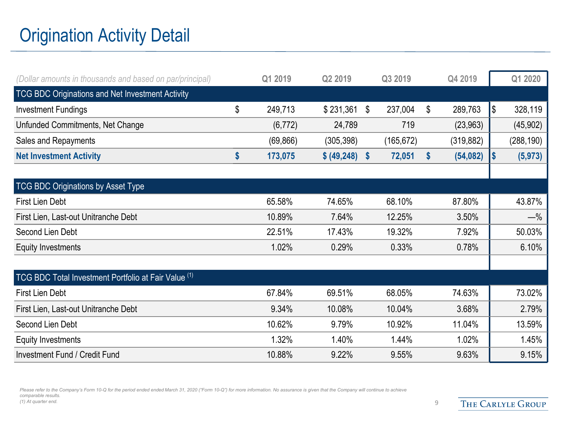# Origination Activity Detail

| (Dollar amounts in thousands and based on par/principal) | Q1 2019       | Q2 2019         | Q3 2019       | Q4 2019         |     | Q1 2020    |
|----------------------------------------------------------|---------------|-----------------|---------------|-----------------|-----|------------|
| <b>TCG BDC Originations and Net Investment Activity</b>  |               |                 |               |                 |     |            |
| <b>Investment Fundings</b>                               | \$<br>249,713 | \$231,361       | \$<br>237,004 | \$<br>289,763   | I\$ | 328,119    |
| Unfunded Commitments, Net Change                         | (6, 772)      | 24,789          | 719           | (23, 963)       |     | (45, 902)  |
| Sales and Repayments                                     | (69, 866)     | (305, 398)      | (165, 672)    | (319, 882)      |     | (288, 190) |
| <b>Net Investment Activity</b>                           | \$<br>173,075 | \$ (49, 248) \$ | 72,051        | \$<br>(54, 082) | I\$ | (5, 973)   |
|                                                          |               |                 |               |                 |     |            |
| <b>TCG BDC Originations by Asset Type</b>                |               |                 |               |                 |     |            |
| <b>First Lien Debt</b>                                   | 65.58%        | 74.65%          | 68.10%        | 87.80%          |     | 43.87%     |
| First Lien, Last-out Unitranche Debt                     | 10.89%        | 7.64%           | 12.25%        | 3.50%           |     | $-\%$      |
| Second Lien Debt                                         | 22.51%        | 17.43%          | 19.32%        | 7.92%           |     | 50.03%     |
| <b>Equity Investments</b>                                | 1.02%         | 0.29%           | 0.33%         | 0.78%           |     | 6.10%      |
|                                                          |               |                 |               |                 |     |            |
| TCG BDC Total Investment Portfolio at Fair Value (1)     |               |                 |               |                 |     |            |
| <b>First Lien Debt</b>                                   | 67.84%        | 69.51%          | 68.05%        | 74.63%          |     | 73.02%     |
| First Lien, Last-out Unitranche Debt                     | 9.34%         | 10.08%          | 10.04%        | 3.68%           |     | 2.79%      |
| Second Lien Debt                                         | 10.62%        | 9.79%           | 10.92%        | 11.04%          |     | 13.59%     |
| <b>Equity Investments</b>                                | 1.32%         | 1.40%           | 1.44%         | 1.02%           |     | 1.45%      |
| <b>Investment Fund / Credit Fund</b>                     | 10.88%        | 9.22%           | 9.55%         | 9.63%           |     | 9.15%      |

Please refer to the Company's Form 10-Q for the period ended ended March 31, 2020 ("Form 10-Q") for more information. No assurance is given that the Company will continue to achieve *comparable results. (1) At quarter end.* 9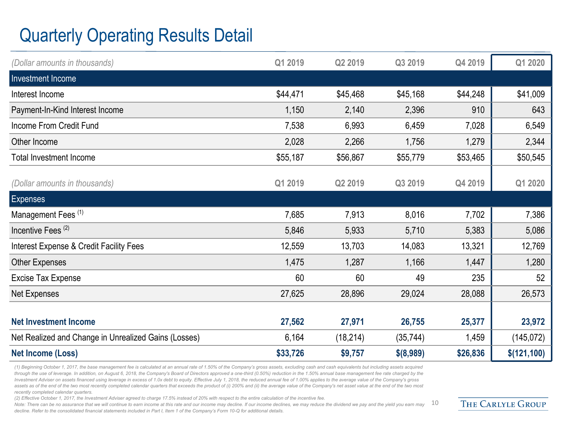# Quarterly Operating Results Detail

| (Dollar amounts in thousands)                        | Q1 2019  | Q2 2019   | Q3 2019   | Q4 2019  | Q1 2020      |
|------------------------------------------------------|----------|-----------|-----------|----------|--------------|
| Investment Income                                    |          |           |           |          |              |
| Interest Income                                      | \$44,471 | \$45,468  | \$45,168  | \$44,248 | \$41,009     |
| Payment-In-Kind Interest Income                      | 1,150    | 2,140     | 2,396     | 910      | 643          |
| Income From Credit Fund                              | 7,538    | 6,993     | 6,459     | 7,028    | 6,549        |
| Other Income                                         | 2,028    | 2,266     | 1,756     | 1,279    | 2,344        |
| <b>Total Investment Income</b>                       | \$55,187 | \$56,867  | \$55,779  | \$53,465 | \$50,545     |
| (Dollar amounts in thousands)                        | Q1 2019  | Q2 2019   | Q3 2019   | Q4 2019  | Q1 2020      |
| <b>Expenses</b>                                      |          |           |           |          |              |
| Management Fees <sup>(1)</sup>                       | 7,685    | 7,913     | 8,016     | 7,702    | 7,386        |
| Incentive Fees <sup>(2)</sup>                        | 5,846    | 5,933     | 5,710     | 5,383    | 5,086        |
| Interest Expense & Credit Facility Fees              | 12,559   | 13,703    | 14,083    | 13,321   | 12,769       |
| Other Expenses                                       | 1,475    | 1,287     | 1,166     | 1,447    | 1,280        |
| <b>Excise Tax Expense</b>                            | 60       | 60        | 49        | 235      | 52           |
| Net Expenses                                         | 27,625   | 28,896    | 29,024    | 28,088   | 26,573       |
|                                                      |          |           |           |          |              |
| <b>Net Investment Income</b>                         | 27,562   | 27,971    | 26,755    | 25,377   | 23,972       |
| Net Realized and Change in Unrealized Gains (Losses) | 6,164    | (18, 214) | (35, 744) | 1,459    | (145, 072)   |
| <b>Net Income (Loss)</b>                             | \$33,726 | \$9,757   | \$(8,989) | \$26,836 | \$(121, 100) |

*(1) Beginning October 1, 2017, the base management fee is calculated at an annual rate of 1.50% of the Company's gross assets, excluding cash and cash equivalents but including assets acquired*  through the use of leverage. In addition, on August 6, 2018, the Company's Board of Directors approved a one-third (0.50%) reduction in the 1.50% annual base management fee rate charged by the *Investment Adviser on assets financed using leverage in excess of 1.0x debt to equity. Effective July 1, 2018, the reduced annual fee of 1.00% applies to the average value of the Company's gross*  assets as of the end of the two most recently completed calendar quarters that exceeds the product of (i) 200% and (ii) the average value of the Company's net asset value at the end of the two most *recently completed calendar quarters.* 

*(2) Effective October 1, 2017, the Investment Adviser agreed to charge 17.5% instead of 20% with respect to the entire calculation of the incentive fee.* 

Note: There can be no assurance that we will continue to earn income at this rate and our income may decline. If our income declines, we may reduce the dividend we pay and the yield you earn may *decline. Refer to the consolidated financial statements included in Part I, Item 1 of the Company's Form 10-Q for additional details.*  10

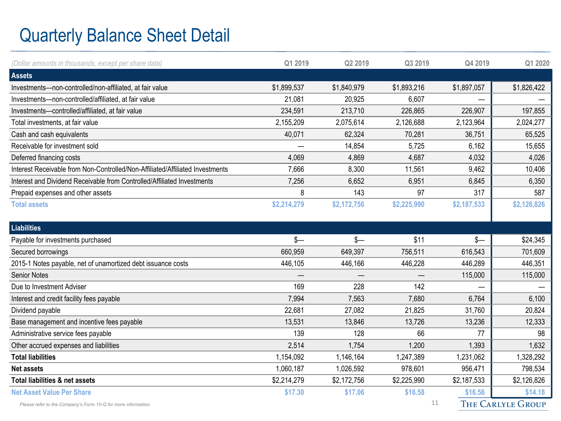### Quarterly Balance Sheet Detail

| (Dollar amounts in thousands, except per share data)                          | Q1 2019     | Q2 2019     | Q3 2019     | Q4 2019     | Q1 2020     |
|-------------------------------------------------------------------------------|-------------|-------------|-------------|-------------|-------------|
| <b>Assets</b>                                                                 |             |             |             |             |             |
| Investments-non-controlled/non-affiliated, at fair value                      | \$1,899,537 | \$1,840,979 | \$1,893,216 | \$1,897,057 | \$1,826,422 |
| Investments-non-controlled/affiliated, at fair value                          | 21,081      | 20,925      | 6,607       |             |             |
| Investments-controlled/affiliated, at fair value                              | 234,591     | 213,710     | 226,865     | 226,907     | 197,855     |
| Total investments, at fair value                                              | 2,155,209   | 2,075,614   | 2,126,688   | 2,123,964   | 2,024,277   |
| Cash and cash equivalents                                                     | 40,071      | 62,324      | 70,281      | 36,751      | 65,525      |
| Receivable for investment sold                                                |             | 14,854      | 5,725       | 6,162       | 15,655      |
| Deferred financing costs                                                      | 4,069       | 4,869       | 4,687       | 4,032       | 4,026       |
| Interest Receivable from Non-Controlled/Non-Affiliated/Affiliated Investments | 7,666       | 8,300       | 11,561      | 9,462       | 10,406      |
| Interest and Dividend Receivable from Controlled/Affiliated Investments       | 7,256       | 6,652       | 6,951       | 6,845       | 6,350       |
| Prepaid expenses and other assets                                             | 8           | 143         | 97          | 317         | 587         |
| <b>Total assets</b>                                                           | \$2,214,279 | \$2,172,756 | \$2,225,990 | \$2,187,533 | \$2,126,826 |
|                                                                               |             |             |             |             |             |
| <b>Liabilities</b>                                                            |             |             |             |             |             |
|                                                                               |             |             |             |             |             |
| Payable for investments purchased                                             | $s-$        | $s-$        | \$11        | $s-$        | \$24,345    |
| Secured borrowings                                                            | 660,959     | 649,397     | 756,511     | 616,543     | 701,609     |
| 2015-1 Notes payable, net of unamortized debt issuance costs                  | 446,105     | 446,166     | 446,228     | 446,289     | 446,351     |
| <b>Senior Notes</b>                                                           |             |             |             | 115,000     | 115,000     |
| Due to Investment Adviser                                                     | 169         | 228         | 142         |             |             |
| Interest and credit facility fees payable                                     | 7,994       | 7,563       | 7,680       | 6,764       | 6,100       |
| Dividend payable                                                              | 22,681      | 27,082      | 21,825      | 31,760      | 20,824      |
| Base management and incentive fees payable                                    | 13,531      | 13,846      | 13,726      | 13,236      | 12,333      |
| Administrative service fees payable                                           | 139         | 128         | 66          | 77          | 98          |
| Other accrued expenses and liabilities                                        | 2,514       | 1,754       | 1,200       | 1,393       | 1,632       |
| <b>Total liabilities</b>                                                      | 1,154,092   | 1,146,164   | 1,247,389   | 1,231,062   | 1,328,292   |
| <b>Net assets</b>                                                             | 1,060,187   | 1,026,592   | 978,601     | 956,471     | 798,534     |
| Total liabilities & net assets                                                | \$2,214,279 | \$2,172,756 | \$2,225,990 | \$2,187,533 | \$2,126,826 |
| <b>Net Asset Value Per Share</b>                                              | \$17.30     | \$17.06     | \$16.58     | \$16.56     | \$14.18     |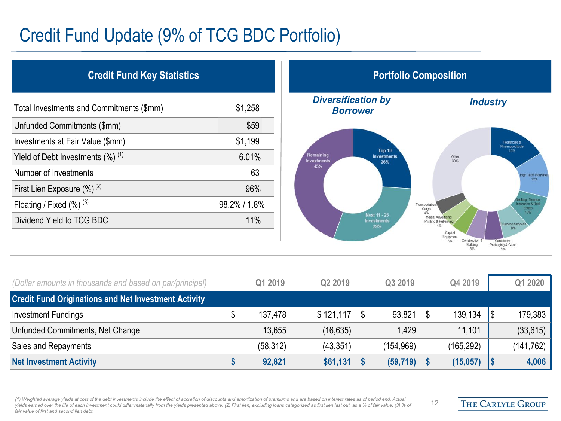### Credit Fund Update (9% of TCG BDC Portfolio)

| <b>Credit Fund Key Statistics</b>               |              |  |  |  |  |  |  |
|-------------------------------------------------|--------------|--|--|--|--|--|--|
| Total Investments and Commitments (\$mm)        | \$1,258      |  |  |  |  |  |  |
| Unfunded Commitments (\$mm)                     | \$59         |  |  |  |  |  |  |
| Investments at Fair Value (\$mm)                | \$1,199      |  |  |  |  |  |  |
| Yield of Debt Investments $(\%)$ <sup>(1)</sup> | 6.01%        |  |  |  |  |  |  |
| Number of Investments                           | 63           |  |  |  |  |  |  |
| First Lien Exposure $(\%)^{(2)}$                | 96%          |  |  |  |  |  |  |
| Floating / Fixed $(\%)$ $^{(3)}$                | 98.2% / 1.8% |  |  |  |  |  |  |
| Dividend Yield to TCG BDC                       | 11%          |  |  |  |  |  |  |
|                                                 |              |  |  |  |  |  |  |



12

| (Dollar amounts in thousands and based on par/principal)    | Q1 2019   | Q <sub>2</sub> 2019 |      | Q3 2019    |      | Q4 2019    | Q1 2020    |
|-------------------------------------------------------------|-----------|---------------------|------|------------|------|------------|------------|
| <b>Credit Fund Originations and Net Investment Activity</b> |           |                     |      |            |      |            |            |
| Investment Fundings                                         | 137,478   | \$121.117           | - \$ | 93.821     | - \$ | 139,134    | 179,383    |
| Unfunded Commitments, Net Change                            | 13,655    | (16, 635)           |      | 1.429      |      | 11,101     | (33, 615)  |
| Sales and Repayments                                        | (58, 312) | (43, 351)           |      | (154, 969) |      | (165, 292) | (141, 762) |
| <b>Net Investment Activity</b>                              | 92,821    | \$61,131            |      | (59, 719)  |      | (15,057)   | 4,006      |

*(1) Weighted average yields at cost of the debt investments include the effect of accretion of discounts and amortization of premiums and are based on interest rates as of period end. Actual*  yields earned over the life of each investment could differ materially from the yields presented above. (2) First lien, excluding loans categorized as first lien last out, as a % of fair value. (3) % of *fair value of first and second lien debt.*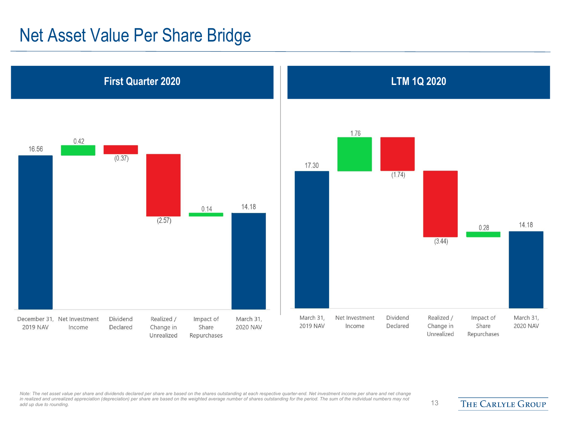### Net Asset Value Per Share Bridge



Note: The net asset value per share and dividends declared per share are based on the shares outstanding at each respective quarter-end. Net investment income per share and net change in realized and unrealized appreciation (depreciation) per share are based on the weighted average number of shares outstanding for the period. The sum of the individual numbers may not<br>add up due to rounding.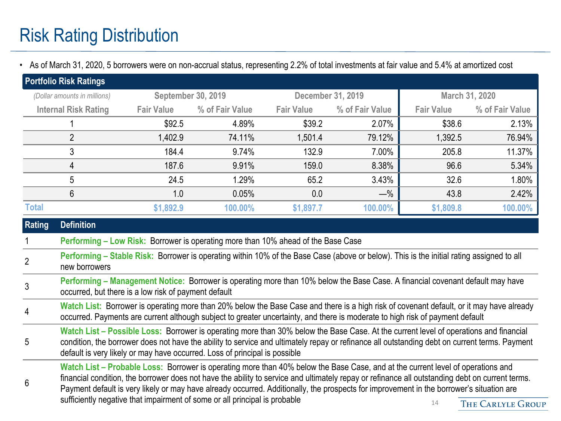• As of March 31, 2020, 5 borrowers were on non-accrual status, representing 2.2% of total investments at fair value and 5.4% at amortized cost

|                | <b>Portfolio Risk Ratings</b>                                                                                                                                                                                                                                                                                                                                        |                                                                                                                                                                                                                                                                                                                                                                                                                                      |                                                                                                                                          |                   |                   |                   |                 |  |
|----------------|----------------------------------------------------------------------------------------------------------------------------------------------------------------------------------------------------------------------------------------------------------------------------------------------------------------------------------------------------------------------|--------------------------------------------------------------------------------------------------------------------------------------------------------------------------------------------------------------------------------------------------------------------------------------------------------------------------------------------------------------------------------------------------------------------------------------|------------------------------------------------------------------------------------------------------------------------------------------|-------------------|-------------------|-------------------|-----------------|--|
|                | (Dollar amounts in millions)                                                                                                                                                                                                                                                                                                                                         | <b>September 30, 2019</b>                                                                                                                                                                                                                                                                                                                                                                                                            |                                                                                                                                          |                   | December 31, 2019 |                   | March 31, 2020  |  |
|                | <b>Internal Risk Rating</b>                                                                                                                                                                                                                                                                                                                                          | <b>Fair Value</b>                                                                                                                                                                                                                                                                                                                                                                                                                    | % of Fair Value                                                                                                                          | <b>Fair Value</b> | % of Fair Value   | <b>Fair Value</b> | % of Fair Value |  |
|                |                                                                                                                                                                                                                                                                                                                                                                      | \$92.5                                                                                                                                                                                                                                                                                                                                                                                                                               | 4.89%                                                                                                                                    | \$39.2            | 2.07%             | \$38.6            | 2.13%           |  |
|                | $\overline{2}$                                                                                                                                                                                                                                                                                                                                                       | 1,402.9                                                                                                                                                                                                                                                                                                                                                                                                                              | 74.11%                                                                                                                                   | 1,501.4           | 79.12%            | 1,392.5           | 76.94%          |  |
|                | 3                                                                                                                                                                                                                                                                                                                                                                    | 184.4                                                                                                                                                                                                                                                                                                                                                                                                                                | 9.74%                                                                                                                                    | 132.9             | 7.00%             | 205.8             | 11.37%          |  |
|                | $\overline{4}$                                                                                                                                                                                                                                                                                                                                                       | 187.6                                                                                                                                                                                                                                                                                                                                                                                                                                | 9.91%                                                                                                                                    | 159.0             | 8.38%             | 96.6              | 5.34%           |  |
|                | 5                                                                                                                                                                                                                                                                                                                                                                    | 24.5                                                                                                                                                                                                                                                                                                                                                                                                                                 | 1.29%                                                                                                                                    | 65.2              | 3.43%             | 32.6              | 1.80%           |  |
|                | $6\phantom{1}$                                                                                                                                                                                                                                                                                                                                                       | 1.0                                                                                                                                                                                                                                                                                                                                                                                                                                  | 0.05%                                                                                                                                    | 0.0               | $-\%$             | 43.8              | 2.42%           |  |
| <b>Total</b>   |                                                                                                                                                                                                                                                                                                                                                                      | \$1,892.9                                                                                                                                                                                                                                                                                                                                                                                                                            | 100.00%                                                                                                                                  | \$1,897.7         | 100.00%           | \$1,809.8         | 100.00%         |  |
| <b>Rating</b>  | <b>Definition</b>                                                                                                                                                                                                                                                                                                                                                    |                                                                                                                                                                                                                                                                                                                                                                                                                                      |                                                                                                                                          |                   |                   |                   |                 |  |
|                |                                                                                                                                                                                                                                                                                                                                                                      |                                                                                                                                                                                                                                                                                                                                                                                                                                      | <b>Performing – Low Risk: Borrower is operating more than 10% ahead of the Base Case</b>                                                 |                   |                   |                   |                 |  |
| $\overline{2}$ | new borrowers                                                                                                                                                                                                                                                                                                                                                        |                                                                                                                                                                                                                                                                                                                                                                                                                                      | Performing – Stable Risk: Borrower is operating within 10% of the Base Case (above or below). This is the initial rating assigned to all |                   |                   |                   |                 |  |
| $\mathfrak{Z}$ |                                                                                                                                                                                                                                                                                                                                                                      | occurred, but there is a low risk of payment default                                                                                                                                                                                                                                                                                                                                                                                 | Performing - Management Notice: Borrower is operating more than 10% below the Base Case. A financial covenant default may have           |                   |                   |                   |                 |  |
| 4              | Watch List: Borrower is operating more than 20% below the Base Case and there is a high risk of covenant default, or it may have already<br>occurred. Payments are current although subject to greater uncertainty, and there is moderate to high risk of payment default                                                                                            |                                                                                                                                                                                                                                                                                                                                                                                                                                      |                                                                                                                                          |                   |                   |                   |                 |  |
| 5              | Watch List - Possible Loss: Borrower is operating more than 30% below the Base Case. At the current level of operations and financial<br>condition, the borrower does not have the ability to service and ultimately repay or refinance all outstanding debt on current terms. Payment<br>default is very likely or may have occurred. Loss of principal is possible |                                                                                                                                                                                                                                                                                                                                                                                                                                      |                                                                                                                                          |                   |                   |                   |                 |  |
| 6              | sufficiently negative that impairment of some or all principal is probable                                                                                                                                                                                                                                                                                           | Watch List – Probable Loss: Borrower is operating more than 40% below the Base Case, and at the current level of operations and<br>financial condition, the borrower does not have the ability to service and ultimately repay or refinance all outstanding debt on current terms.<br>Payment default is very likely or may have already occurred. Additionally, the prospects for improvement in the borrower's situation are<br>14 | <b>THE CARLYLE GROUP</b>                                                                                                                 |                   |                   |                   |                 |  |